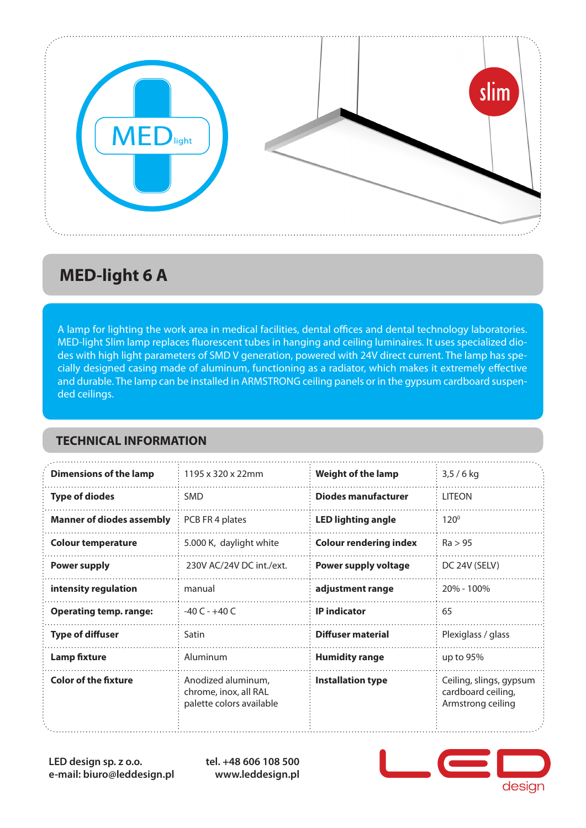

## **MED-light 6 A**

A lamp for lighting the work area in medical facilities, dental offices and dental technology laboratories. MED-light Slim lamp replaces fluorescent tubes in hanging and ceiling luminaires. It uses specialized diodes with high light parameters of SMD V generation, powered with 24V direct current. The lamp has specially designed casing made of aluminum, functioning as a radiator, which makes it extremely effective and durable. The lamp can be installed in ARMSTRONG ceiling panels or in the gypsum cardboard suspended ceilings.

#### **TECHNICAL INFORMATION**

| <b>Dimensions of the lamp</b>    | 1195 x 320 x 22mm                                                       | <b>Weight of the lamp</b>     | $3,5/6$ kg                                                         |
|----------------------------------|-------------------------------------------------------------------------|-------------------------------|--------------------------------------------------------------------|
| <b>Type of diodes</b>            | <b>SMD</b>                                                              | <b>Diodes manufacturer</b>    | <b>LITEON</b>                                                      |
| <b>Manner of diodes assembly</b> | PCB FR 4 plates                                                         | <b>LED lighting angle</b>     | $120^\circ$                                                        |
| <b>Colour temperature</b>        | 5.000 K, daylight white                                                 | <b>Colour rendering index</b> | Ra > 95                                                            |
| <b>Power supply</b>              | 230V AC/24V DC int./ext.                                                | Power supply voltage          | DC 24V (SELV)                                                      |
| intensity regulation             | manual                                                                  | adjustment range              | 20% - 100%                                                         |
| <b>Operating temp. range:</b>    | $-40C - +40C$                                                           | <b>IP</b> indicator           | 65                                                                 |
| <b>Type of diffuser</b>          | Satin                                                                   | <b>Diffuser material</b>      | Plexiglass / glass                                                 |
| <b>Lamp fixture</b>              | Aluminum                                                                | <b>Humidity range</b>         | up to $95%$                                                        |
| <b>Color of the fixture</b>      | Anodized aluminum,<br>chrome, inox, all RAL<br>palette colors available | <b>Installation type</b>      | Ceiling, slings, gypsum<br>cardboard ceiling,<br>Armstrong ceiling |

**LED design sp. z o.o. e-mail: biuro@leddesign.pl** **tel. +48 606 108 500 www.leddesign.pl**